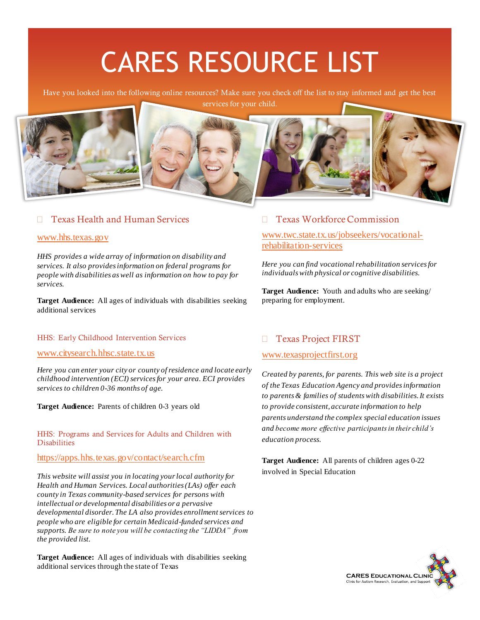# CARES RESOURCE LIST

Have you looked into the following online resources? Make sure you check off the list to stay informed and get the best services for your child.



### □ Texas Health and Human Services

#### [www.hhs.texas.gov](http://www.hhs.texas.gov/)

*HHS provides a wide array of information on disability and services. It also provides information on federal programs for people with disabilities as well as information on how to pay for services.* 

**Target Audience:** All ages of individuals with disabilities seeking additional services

#### HHS: Early Childhood Intervention Services

[www.citysearch.hhsc.state.tx.us](http://www.citysearch.hhsc.state.tx.us/)

*Here you can enter your city or county of residence and locate early childhood intervention (ECI) services for your area. ECI provides services to children 0-36 months of age.*

**Target Audience:** Parents of children 0-3 years old

HHS: Programs and Services for Adults and Children with **Disabilities** 

#### <https://apps.hhs.texas.gov/contact/search.cfm>

*This website will assist you in locating your local authority for Health and Human Services. Local authorities (LAs) offer each county in Texas community-based services for persons with intellectual or developmental disabilities or a pervasive developmental disorder. The LA also provides enrollment services to people who are eligible for certain Medicaid-funded services and supports. Be sure to note you will be contacting the "LIDDA" from the provided list.*

**Target Audience:** All ages of individuals with disabilities seeking additional services through the state of Texas

#### □ Texas Workforce Commission

[www.twc.state.tx.us/jobseekers/vocational](http://www.twc.state.tx.us/jobseekers/vocational-rehabilitation-services)[rehabilitation-services](http://www.twc.state.tx.us/jobseekers/vocational-rehabilitation-services)

*Here you can find vocational rehabilitation services for individuals with physical or cognitive disabilities.* 

**Target Audience:** Youth and adults who are seeking/ preparing for employment.

#### □ Texas Project FIRST

#### [www.texasprojectfirst.org](http://www.texasprojectfirst.org/)

*Created by parents, for parents. This web site is a project of the Texas Education Agency and provides information to parents & families of students with disabilities. It exists to provide consistent, accurate information to help parents understand the complex special education issues and become more effective participants in their child's education process.*

**Target Audience:** All parents of children ages 0-22 involved in Special Education

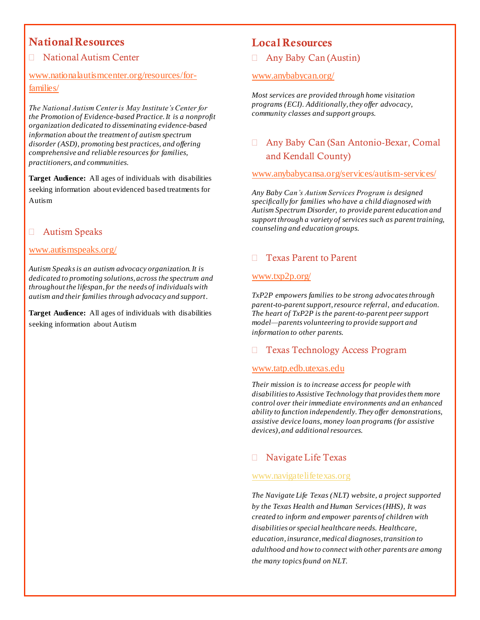# National Resources

## □ National Autism Center

# [www.nationalautismcenter.org/resources/for](http://www.nationalautismcenter.org/resources/for-families/)[families/](http://www.nationalautismcenter.org/resources/for-families/)

*The National Autism Center is May Institute's Center for the Promotion of Evidence-based Practice. It is a nonprofit organization dedicated to disseminating evidence-based information about the treatment of autism spectrum disorder (ASD), promoting best practices, and offering comprehensive and reliable resources for families, practitioners, and communities.*

**Target Audience:** All ages of individuals with disabilities seeking information about evidenced based treatments for Autism

# Autism Speaks

#### [www.autismspeaks.org/](http://www.autismspeaks.org/)

*Autism Speaks is an autism advocacy organization. It is dedicated to promoting solutions, across the spectrum and throughout the lifespan, for the needs of individuals with autism and their families through advocacy and support.* 

**Target Audience:** All ages of individuals with disabilities seeking information about Autism

# Local Resources

Any Baby Can (Austin)

#### [www.anybabycan.org/](http://www.anybabycan.org/)

*Most services are provided through home visitation programs (ECI). Additionally, they offer advocacy, community classes and support groups.*

# Any Baby Can (San Antonio-Bexar, Comal and Kendall County)

[www.anybabycansa.org/services/autism-services/](http://www.anybabycansa.org/services/autism-services/)

*Any Baby Can's Autism Services Program is designed specifically for families who have a child diagnosed with Autism Spectrum Disorder, to provide parent education and support through a variety of services such as parent training, counseling and education groups.*

## □ Texas Parent to Parent

#### [www.txp2p.org/](http://www.txp2p.org/)

*TxP2P empowers families to be strong advocates through parent-to-parent support, resource referral, and education. The heart of TxP2P is the parent-to-parent peer support model—parents volunteering to provide support and information to other parents.*

#### Texas Technology Access Program

#### [www.tatp.edb.utexas.edu](http://www.tatp.edb.utexas.edu/)

*Their mission is to increase access for people with disabilities to Assistive Technology that provides them more control over their immediate environments and an enhanced ability to function independently. They offer demonstrations, assistive device loans, money loan programs (for assistive devices), and additional resources.*

## Navigate Life Texas

#### [www.navigatelifetexas.org](http://www.navigatelifetexas.org/)

*The Navigate Life Texas (NLT) website, a project supported by the Texas Health and Human Services (HHS), It was created to inform and empower parents of children with disabilities or special healthcare needs[. Healthcare,](https://www.navigatelifetexas.org/en/diagnosis-healthcare) [education](https://www.navigatelifetexas.org/en/education-schools)[, insurance](https://www.navigatelifetexas.org/en/insurance-financial-help)[, medical diagnoses](https://www.navigatelifetexas.org/en/diagnosis-healthcare/diagnosis-a-z)[,transition to](https://www.navigatelifetexas.org/en/transition-to-adulthood)  [adulthood](https://www.navigatelifetexas.org/en/transition-to-adulthood) and how to connect with other parents are among the many topics found on NLT.*